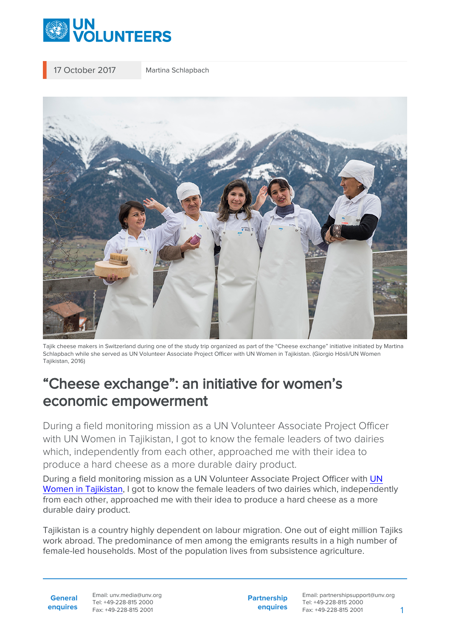

17 October 2017 Martina Schlapbach



Tajik cheese makers in Switzerland during one of the study trip organized as part of the "Cheese exchange" initiative initiated by Martina Schlapbach while she served as UN Volunteer Associate Project Officer with UN Women in Tajikistan. (Giorgio Hösli/UN Women Tajikistan, 2016)

## "Cheese exchange": an initiative for women's economic empowerment

During a field monitoring mission as a UN Volunteer Associate Project Officer with UN Women in Tajikistan, I got to know the female leaders of two dairies which, independently from each other, approached me with their idea to produce a hard cheese as a more durable dairy product.

During a field monitoring mission as a UN Volunteer Associate Project Officer with [UN](https://eca.unwomen.org/en) [Women in Tajikistan,](https://eca.unwomen.org/en) I got to know the female leaders of two dairies which, independently from each other, approached me with their idea to produce a hard cheese as a more durable dairy product.

Tajikistan is a country highly dependent on labour migration. One out of eight million Tajiks work abroad. The predominance of men among the emigrants results in a high number of female-led households. Most of the population lives from subsistence agriculture.

**General enquires** Email: unv.media@unv.org Tel: +49-228-815 2000 Fax: +49-228-815 2001

**Partnership enquires** Email: partnershipsupport@unv.org Tel: +49-228-815 2000 Fax: +49-228-815 2001 1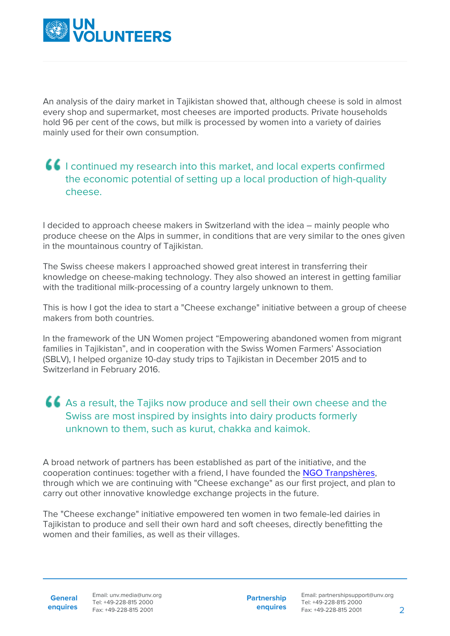

An analysis of the dairy market in Tajikistan showed that, although cheese is sold in almost every shop and supermarket, most cheeses are imported products. Private households hold 96 per cent of the cows, but milk is processed by women into a variety of dairies mainly used for their own consumption.

## I continued my research into this market, and local experts confirmed the economic potential of setting up a local production of high-quality cheese.

I decided to approach cheese makers in Switzerland with the idea – mainly people who produce cheese on the Alps in summer, in conditions that are very similar to the ones given in the mountainous country of Tajikistan.

The Swiss cheese makers I approached showed great interest in transferring their knowledge on cheese-making technology. They also showed an interest in getting familiar with the traditional milk-processing of a country largely unknown to them.

This is how I got the idea to start a "Cheese exchange" initiative between a group of cheese makers from both countries.

In the framework of the UN Women project "Empowering abandoned women from migrant families in Tajikistan", and in cooperation with the Swiss Women Farmers' Association (SBLV), I helped organize 10-day study trips to Tajikistan in December 2015 and to Switzerland in February 2016.

## As a result, the Tajiks now produce and sell their own cheese and the Swiss are most inspired by insights into dairy products formerly unknown to them, such as kurut, chakka and kaimok.

A broad network of partners has been established as part of the initiative, and the cooperation continues: together with a friend, I have founded the [NGO Tranpshères,](https://www.transpheres.org/) through which we are continuing with "Cheese exchange" as our first project, and plan to carry out other innovative knowledge exchange projects in the future.

The "Cheese exchange" initiative empowered ten women in two female-led dairies in Tajikistan to produce and sell their own hard and soft cheeses, directly benefitting the women and their families, as well as their villages.

**General**

**Partnership enquires**